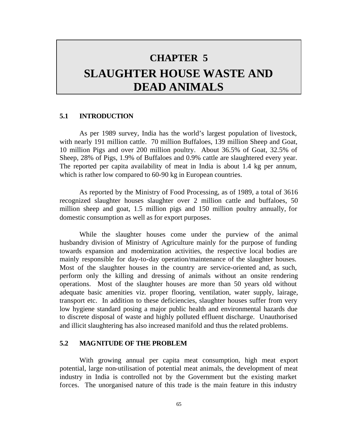# **CHAPTER 5 SLAUGHTER HOUSE WASTE AND DEAD ANIMALS**

## **5.1 INTRODUCTION**

As per 1989 survey, India has the world's largest population of livestock, with nearly 191 million cattle. 70 million Buffaloes, 139 million Sheep and Goat, 10 million Pigs and over 200 million poultry. About 36.5% of Goat, 32.5% of Sheep, 28% of Pigs, 1.9% of Buffaloes and 0.9% cattle are slaughtered every year. The reported per capita availability of meat in India is about 1.4 kg per annum, which is rather low compared to 60-90 kg in European countries.

As reported by the Ministry of Food Processing, as of 1989, a total of 3616 recognized slaughter houses slaughter over 2 million cattle and buffaloes, 50 million sheep and goat, 1.5 million pigs and 150 million poultry annually, for domestic consumption as well as for export purposes.

While the slaughter houses come under the purview of the animal husbandry division of Ministry of Agriculture mainly for the purpose of funding towards expansion and modernization activities, the respective local bodies are mainly responsible for day-to-day operation/maintenance of the slaughter houses. Most of the slaughter houses in the country are service-oriented and, as such, perform only the killing and dressing of animals without an onsite rendering operations. Most of the slaughter houses are more than 50 years old without adequate basic amenities viz. proper flooring, ventilation, water supply, lairage, transport etc. In addition to these deficiencies, slaughter houses suffer from very low hygiene standard posing a major public health and environmental hazards due to discrete disposal of waste and highly polluted effluent discharge. Unauthorised and illicit slaughtering has also increased manifold and thus the related problems.

# **5.2 MAGNITUDE OF THE PROBLEM**

With growing annual per capita meat consumption, high meat export potential, large non-utilisation of potential meat animals, the development of meat industry in India is controlled not by the Government but the existing market forces. The unorganised nature of this trade is the main feature in this industry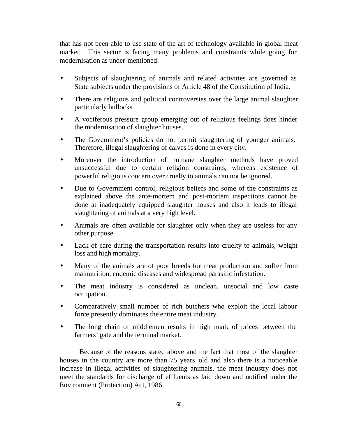that has not been able to use state of the art of technology available in global meat market. This sector is facing many problems and constraints while going for modernisation as under-mentioned:

- Subjects of slaughtering of animals and related activities are governed as State subjects under the provisions of Article 48 of the Constitution of India.
- There are religious and political controversies over the large animal slaughter particularly bullocks.
- A vociferous pressure group emerging out of religious feelings does hinder the modernisation of slaughter houses.
- The Government's policies do not permit slaughtering of younger animals. Therefore, illegal slaughtering of calves is done in every city.
- Moreover the introduction of humane slaughter methods have proved unsuccessful due to certain religion constraints, whereas existence of powerful religious concern over cruelty to animals can not be ignored.
- Due to Government control, religious beliefs and some of the constraints as explained above the ante-mortem and post-mortem inspections cannot be done at inadequately equipped slaughter houses and also it leads to illegal slaughtering of animals at a very high level.
- Animals are often available for slaughter only when they are useless for any other purpose.
- Lack of care during the transportation results into cruelty to animals, weight loss and high mortality.
- Many of the animals are of poor breeds for meat production and suffer from malnutrition, endemic diseases and widespread parasitic infestation.
- The meat industry is considered as unclean, unsocial and low caste occupation.
- Comparatively small number of rich butchers who exploit the local labour force presently dominates the entire meat industry.
- The long chain of middlemen results in high mark of prices between the farmers' gate and the terminal market.

Because of the reasons stated above and the fact that most of the slaughter houses in the country are more than 75 years old and also there is a noticeable increase in illegal activities of slaughtering animals, the meat industry does not meet the standards for discharge of effluents as laid down and notified under the Environment (Protection) Act, 1986.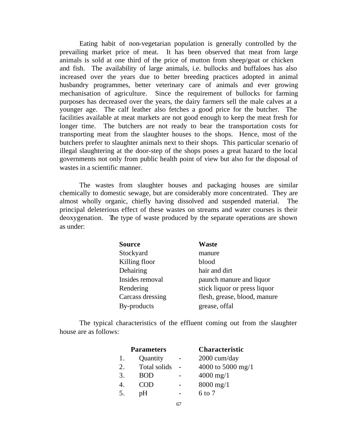Eating habit of non-vegetarian population is generally controlled by the prevailing market price of meat. It has been observed that meat from large animals is sold at one third of the price of mutton from sheep/goat or chicken and fish. The availability of large animals, i.e. bullocks and buffaloes has also increased over the years due to better breeding practices adopted in animal husbandry programmes, better veterinary care of animals and ever growing mechanisation of agriculture. Since the requirement of bullocks for farming purposes has decreased over the years, the dairy farmers sell the male calves at a younger age. The calf leather also fetches a good price for the butcher. The facilities available at meat markets are not good enough to keep the meat fresh for longer time. The butchers are not ready to bear the transportation costs for transporting meat from the slaughter houses to the shops. Hence, most of the butchers prefer to slaughter animals next to their shops. This particular scenario of illegal slaughtering at the door-step of the shops poses a great hazard to the local governments not only from public health point of view but also for the disposal of wastes in a scientific manner.

The wastes from slaughter houses and packaging houses are similar chemically to domestic sewage, but are considerably more concentrated. They are almost wholly organic, chiefly having dissolved and suspended material. The principal deleterious effect of these wastes on streams and water courses is their deoxygenation. The type of waste produced by the separate operations are shown as under:

| <b>Source</b>    | <b>Waste</b>                 |
|------------------|------------------------------|
| Stockyard        | manure                       |
| Killing floor    | blood                        |
| Dehairing        | hair and dirt                |
| Insides removal  | paunch manure and liquor     |
| Rendering        | stick liquor or press liquor |
| Carcass dressing | flesh, grease, blood, manure |
| By-products      | grease, offal                |

The typical characteristics of the effluent coming out from the slaughter house are as follows:

| <b>Parameters</b> | <b>Characteristic</b>  |
|-------------------|------------------------|
| Quantity          | 2000 cum/day           |
| Total solids      | 4000 to 5000 mg/1      |
| <b>BOD</b>        | $4000 \,\mathrm{mg}/1$ |
| <b>COD</b>        | $8000 \,\mathrm{mg}/1$ |
| pH                | $6 \text{ to } 7$      |
|                   |                        |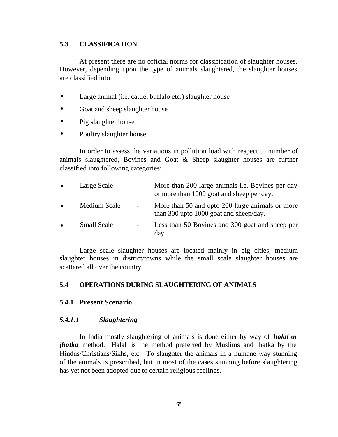# **5.3 CLASSIFICATION**

At present there are no official norms for classification of slaughter houses. However, depending upon the type of animals slaughtered, the slaughter houses are classified into:

- Large animal (i.e. cattle, buffalo etc.) slaughter house
- Goat and sheep slaughter house
- Pig slaughter house
- Poultry slaughter house

In order to assess the variations in pollution load with respect to number of animals slaughtered, Bovines and Goat & Sheep slaughter houses are further classified into following categories:

| $\bullet$ | Large Scale        | $\overline{\phantom{a}}$ | More than 200 large animals <i>i.e.</i> Bovines per day<br>or more than 1000 goat and sheep per day. |
|-----------|--------------------|--------------------------|------------------------------------------------------------------------------------------------------|
| $\bullet$ | Medium Scale       | $\overline{\phantom{a}}$ | More than 50 and upto 200 large animals or more<br>than 300 upto 1000 goat and sheep/day.            |
| $\bullet$ | <b>Small Scale</b> | -                        | Less than 50 Bovines and 300 goat and sheep per<br>day.                                              |

Large scale slaughter houses are located mainly in big cities, medium slaughter houses in district/towns while the small scale slaughter houses are scattered all over the country.

# **5.4 OPERATIONS DURING SLAUGHTERING OF ANIMALS**

# **5.4.1 Present Scenario**

# *5.4.1.1 Slaughtering*

In India mostly slaughtering of animals is done either by way of *halal or jhatka* method. Halal is the method preferred by Muslims and jhatka by the Hindus/Christians/Sikhs, etc. To slaughter the animals in a humane way stunning of the animals is prescribed, but in most of the cases stunning before slaughtering has yet not been adopted due to certain religious feelings.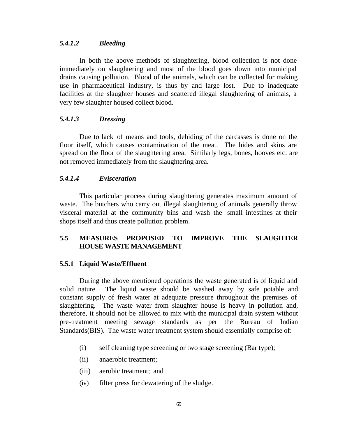## *5.4.1.2 Bleeding*

In both the above methods of slaughtering, blood collection is not done immediately on slaughtering and most of the blood goes down into municipal drains causing pollution. Blood of the animals, which can be collected for making use in pharmaceutical industry, is thus by and large lost. Due to inadequate facilities at the slaughter houses and scattered illegal slaughtering of animals, a very few slaughter housed collect blood.

## *5.4.1.3 Dressing*

Due to lack of means and tools, dehiding of the carcasses is done on the floor itself, which causes contamination of the meat. The hides and skins are spread on the floor of the slaughtering area. Similarly legs, bones, hooves etc. are not removed immediately from the slaughtering area.

## *5.4.1.4 Evisceration*

This particular process during slaughtering generates maximum amount of waste. The butchers who carry out illegal slaughtering of animals generally throw visceral material at the community bins and wash the small intestines at their shops itself and thus create pollution problem.

# **5.5 MEASURES PROPOSED TO IMPROVE THE SLAUGHTER HOUSE WASTE MANAGEMENT**

#### **5.5.1 Liquid Waste/Effluent**

During the above mentioned operations the waste generated is of liquid and solid nature. The liquid waste should be washed away by safe potable and constant supply of fresh water at adequate pressure throughout the premises of slaughtering. The waste water from slaughter house is heavy in pollution and, therefore, it should not be allowed to mix with the municipal drain system without pre-treatment meeting sewage standards as per the Bureau of Indian Standards(BIS). The waste water treatment system should essentially comprise of:

- (i) self cleaning type screening or two stage screening (Bar type);
- (ii) anaerobic treatment;
- (iii) aerobic treatment; and
- (iv) filter press for dewatering of the sludge.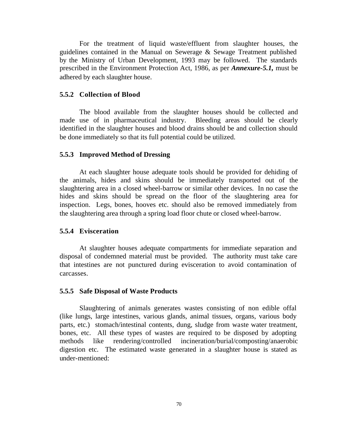For the treatment of liquid waste/effluent from slaughter houses, the guidelines contained in the Manual on Sewerage & Sewage Treatment published by the Ministry of Urban Development, 1993 may be followed. The standards prescribed in the Environment Protection Act, 1986, as per *Annexure-5.1,* must be adhered by each slaughter house.

## **5.5.2 Collection of Blood**

The blood available from the slaughter houses should be collected and made use of in pharmaceutical industry. Bleeding areas should be clearly identified in the slaughter houses and blood drains should be and collection should be done immediately so that its full potential could be utilized.

## **5.5.3 Improved Method of Dressing**

At each slaughter house adequate tools should be provided for dehiding of the animals, hides and skins should be immediately transported out of the slaughtering area in a closed wheel-barrow or similar other devices. In no case the hides and skins should be spread on the floor of the slaughtering area for inspection. Legs, bones, hooves etc. should also be removed immediately from the slaughtering area through a spring load floor chute or closed wheel-barrow.

#### **5.5.4 Evisceration**

At slaughter houses adequate compartments for immediate separation and disposal of condemned material must be provided. The authority must take care that intestines are not punctured during evisceration to avoid contamination of carcasses.

#### **5.5.5 Safe Disposal of Waste Products**

Slaughtering of animals generates wastes consisting of non edible offal (like lungs, large intestines, various glands, animal tissues, organs, various body parts, etc.) stomach/intestinal contents, dung, sludge from waste water treatment, bones, etc. All these types of wastes are required to be disposed by adopting methods like rendering/controlled incineration/burial/composting/anaerobic digestion etc. The estimated waste generated in a slaughter house is stated as under-mentioned: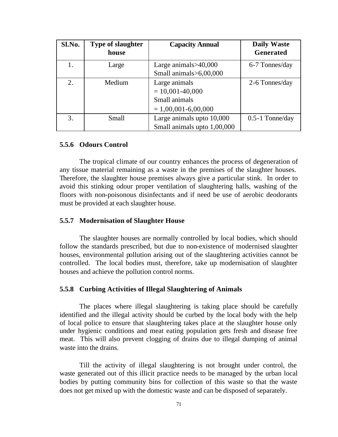| Sl.No. | <b>Type of slaughter</b> | <b>Capacity Annual</b>      | <b>Daily Waste</b> |
|--------|--------------------------|-----------------------------|--------------------|
|        | house                    |                             | <b>Generated</b>   |
| 1.     | Large                    | Large animals $>40,000$     | 6-7 Tonnes/day     |
|        |                          | Small animals>6,00,000      |                    |
| 2.     | Medium                   | Large animals               | 2-6 Tonnes/day     |
|        |                          | $= 10,001 - 40,000$         |                    |
|        |                          | Small animals               |                    |
|        |                          | $= 1,00,001-6,00,000$       |                    |
| 3.     | Small                    | Large animals upto 10,000   | $0.5-1$ Tonne/day  |
|        |                          | Small animals upto 1,00,000 |                    |

#### **5.5.6 Odours Control**

The tropical climate of our country enhances the process of degeneration of any tissue material remaining as a waste in the premises of the slaughter houses. Therefore, the slaughter house premises always give a particular stink. In order to avoid this stinking odour proper ventilation of slaughtering halls, washing of the floors with non-poisonous disinfectants and if need be use of aerobic deodorants must be provided at each slaughter house.

#### **5.5.7 Modernisation of Slaughter House**

The slaughter houses are normally controlled by local bodies, which should follow the standards prescribed, but due to non-existence of modernised slaughter houses, environmental pollution arising out of the slaughtering activities cannot be controlled. The local bodies must, therefore, take up modernisation of slaughter houses and achieve the pollution control norms.

### **5.5.8 Curbing Activities of Illegal Slaughtering of Animals**

The places where illegal slaughtering is taking place should be carefully identified and the illegal activity should be curbed by the local body with the help of local police to ensure that slaughtering takes place at the slaughter house only under hygienic conditions and meat eating population gets fresh and disease free meat. This will also prevent clogging of drains due to illegal dumping of animal waste into the drains.

Till the activity of illegal slaughtering is not brought under control, the waste generated out of this illicit practice needs to be managed by the urban local bodies by putting community bins for collection of this waste so that the waste does not get mixed up with the domestic waste and can be disposed of separately.